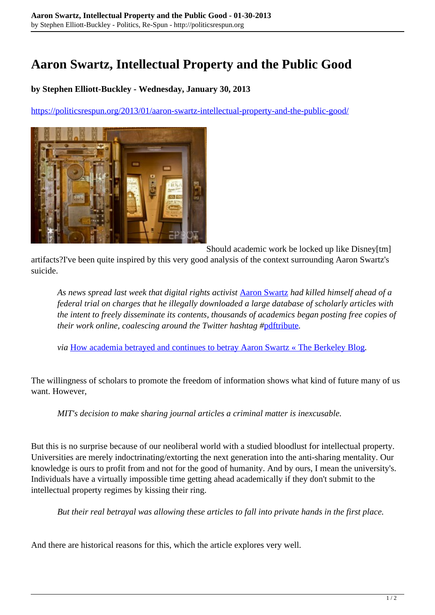## **Aaron Swartz, Intellectual Property and the Public Good**

## **by Stephen Elliott-Buckley - Wednesday, January 30, 2013**

<https://politicsrespun.org/2013/01/aaron-swartz-intellectual-property-and-the-public-good/>



Should academic work be locked up like Disney[tm] artifacts?I've been quite inspired by this very good analysis of the context surrounding Aaron Swartz's suicide.

*As news spread last week that digital rights activist* [Aaron Swartz](http://www.cnbc.com/id/100374855/Reddit_Founder_Aaron_Schwartz_Dead_at_26) *had killed himself ahead of a federal trial on charges that he illegally downloaded a large database of scholarly articles with the intent to freely disseminate its contents, thousands of academics began posting free copies of their work online, coalescing around the Twitter hashtag #*[pdftribute](https://twitter.com/search?q=%23PDFtribute&src=hash)*.*

*via* [How academia betrayed and continues to betray Aaron Swartz « The Berkeley Blog](http://blogs.berkeley.edu/2013/01/25/how-academia-betrayed-and-continues-to-betray-aaron-swartz/)*.*

The willingness of scholars to promote the freedom of information shows what kind of future many of us want. However,

*MIT's decision to make sharing journal articles a criminal matter is inexcusable.*

But this is no surprise because of our neoliberal world with a studied bloodlust for intellectual property. Universities are merely indoctrinating/extorting the next generation into the anti-sharing mentality. Our knowledge is ours to profit from and not for the good of humanity. And by ours, I mean the university's. Individuals have a virtually impossible time getting ahead academically if they don't submit to the intellectual property regimes by kissing their ring.

*But their real betrayal was allowing these articles to fall into private hands in the first place.*

And there are historical reasons for this, which the article explores very well.